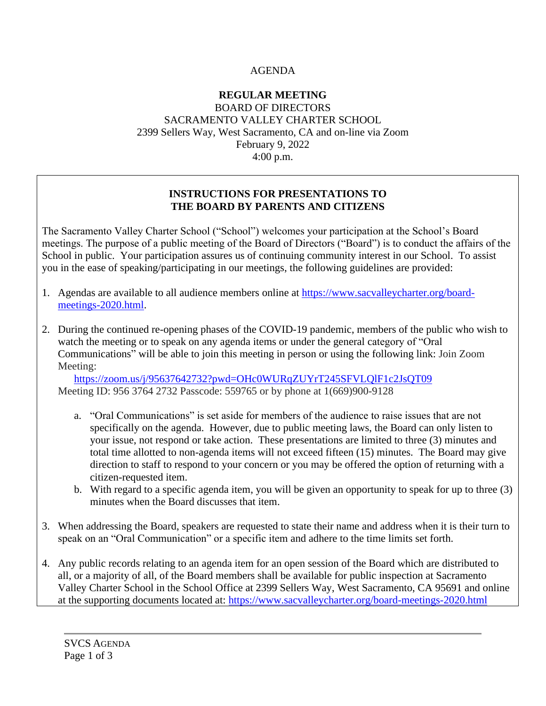## AGENDA

#### **REGULAR MEETING** BOARD OF DIRECTORS SACRAMENTO VALLEY CHARTER SCHOOL 2399 Sellers Way, West Sacramento, CA and on-line via Zoom February 9, 2022 4:00 p.m.

#### **INSTRUCTIONS FOR PRESENTATIONS TO THE BOARD BY PARENTS AND CITIZENS**

The Sacramento Valley Charter School ("School") welcomes your participation at the School's Board meetings. The purpose of a public meeting of the Board of Directors ("Board") is to conduct the affairs of the School in public. Your participation assures us of continuing community interest in our School. To assist you in the ease of speaking/participating in our meetings, the following guidelines are provided:

- 1. Agendas are available to all audience members online at [https://www.sacvalleycharter.org/board](about:blank)[meetings-2020.html.](about:blank)
- 2. During the continued re-opening phases of the COVID-19 pandemic, members of the public who wish to watch the meeting or to speak on any agenda items or under the general category of "Oral Communications" will be able to join this meeting in person or using the following link: Join Zoom Meeting:

<https://zoom.us/j/95637642732?pwd=OHc0WURqZUYrT245SFVLQlF1c2JsQT09> Meeting ID: 956 3764 2732 Passcode: 559765 or by phone at 1(669)900-9128

- a. "Oral Communications" is set aside for members of the audience to raise issues that are not specifically on the agenda. However, due to public meeting laws, the Board can only listen to your issue, not respond or take action. These presentations are limited to three (3) minutes and total time allotted to non-agenda items will not exceed fifteen (15) minutes. The Board may give direction to staff to respond to your concern or you may be offered the option of returning with a citizen-requested item.
- b. With regard to a specific agenda item, you will be given an opportunity to speak for up to three (3) minutes when the Board discusses that item.
- 3. When addressing the Board, speakers are requested to state their name and address when it is their turn to speak on an "Oral Communication" or a specific item and adhere to the time limits set forth.
- 4. Any public records relating to an agenda item for an open session of the Board which are distributed to all, or a majority of all, of the Board members shall be available for public inspection at Sacramento Valley Charter School in the School Office at 2399 Sellers Way, West Sacramento, CA 95691 and online at the supporting documents located at: [https://www.sacvalleycharter.org/board-meetings-2020.html](about:blank)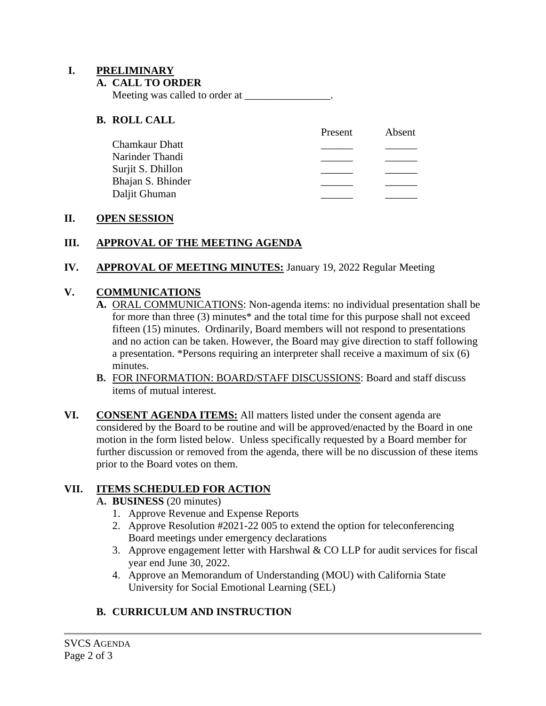#### **I. PRELIMINARY**

#### **A. CALL TO ORDER**

Meeting was called to order at

#### **B. ROLL CALL**

|                   | Present | Absent |
|-------------------|---------|--------|
| Chamkaur Dhatt    |         |        |
| Narinder Thandi   |         |        |
| Surjit S. Dhillon |         |        |
| Bhajan S. Bhinder |         |        |
| Daljit Ghuman     |         |        |

#### **II. OPEN SESSION**

## **III. APPROVAL OF THE MEETING AGENDA**

**IV. APPROVAL OF MEETING MINUTES:** January 19, 2022 Regular Meeting

# **V. COMMUNICATIONS**

- **A.** ORAL COMMUNICATIONS: Non-agenda items: no individual presentation shall be for more than three (3) minutes\* and the total time for this purpose shall not exceed fifteen (15) minutes. Ordinarily, Board members will not respond to presentations and no action can be taken. However, the Board may give direction to staff following a presentation. \*Persons requiring an interpreter shall receive a maximum of six (6) minutes.
- **B.** FOR INFORMATION: BOARD/STAFF DISCUSSIONS: Board and staff discuss items of mutual interest.
- **VI. CONSENT AGENDA ITEMS:** All matters listed under the consent agenda are considered by the Board to be routine and will be approved/enacted by the Board in one motion in the form listed below. Unless specifically requested by a Board member for further discussion or removed from the agenda, there will be no discussion of these items prior to the Board votes on them.

## **VII. ITEMS SCHEDULED FOR ACTION**

## **A. BUSINESS** (20 minutes)

- 1. Approve Revenue and Expense Reports
- 2. Approve Resolution #2021-22 005 to extend the option for teleconferencing Board meetings under emergency declarations
- 3. Approve engagement letter with Harshwal  $& CO$  LLP for audit services for fiscal year end June 30, 2022.
- 4. Approve an Memorandum of Understanding (MOU) with California State University for Social Emotional Learning (SEL)

# **B. CURRICULUM AND INSTRUCTION**